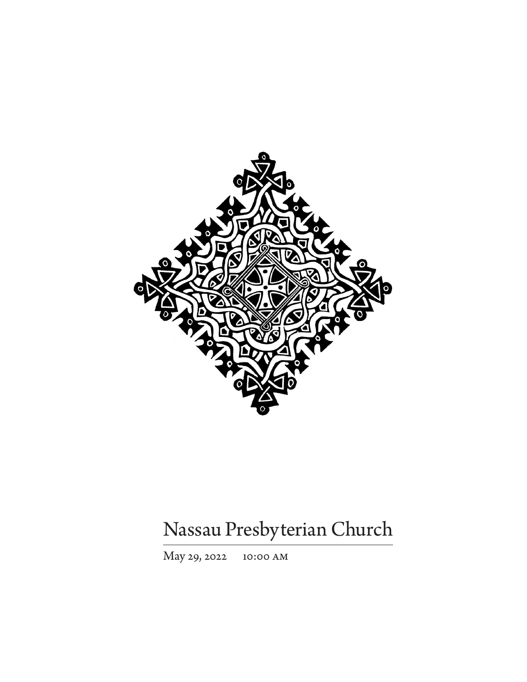

# Nassau Presbyterian Church

May 29, 2022 10:00 am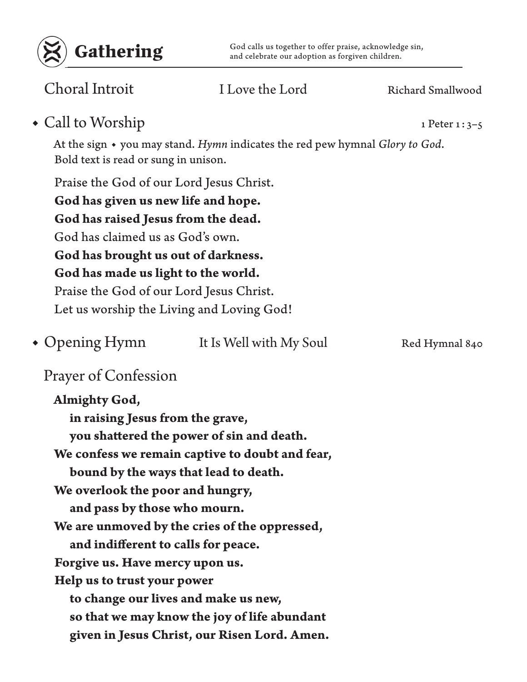

Gathering God calls us together to offer praise, acknowledge sin,<br>and celebrate our adoption as forgiven children. and celebrate our adoption as forgiven children.

Choral Introit I Love the Lord Richard Smallwood

◆ Call to Worship 1 Peter 1: 3–5

At the sign ◆ you may stand. *Hymn* indicates the red pew hymnal *Glory to God*. Bold text is read or sung in unison.

Praise the God of our Lord Jesus Christ. **God has given us new life and hope. God has raised Jesus from the dead.** God has claimed us as God's own. **God has brought us out of darkness. God has made us light to the world.** Praise the God of our Lord Jesus Christ. Let us worship the Living and Loving God!

It Is Well with My Soul Red Hymnal 840 • Opening Hymn

## Prayer of Confession

**Almighty God, in raising Jesus from the grave, you shattered the power of sin and death. We confess we remain captive to doubt and fear, bound by the ways that lead to death. We overlook the poor and hungry, and pass by those who mourn. We are unmoved by the cries of the oppressed, and indifferent to calls for peace. Forgive us. Have mercy upon us. Help us to trust your power to change our lives and make us new, so that we may know the joy of life abundant given in Jesus Christ, our Risen Lord. Amen.**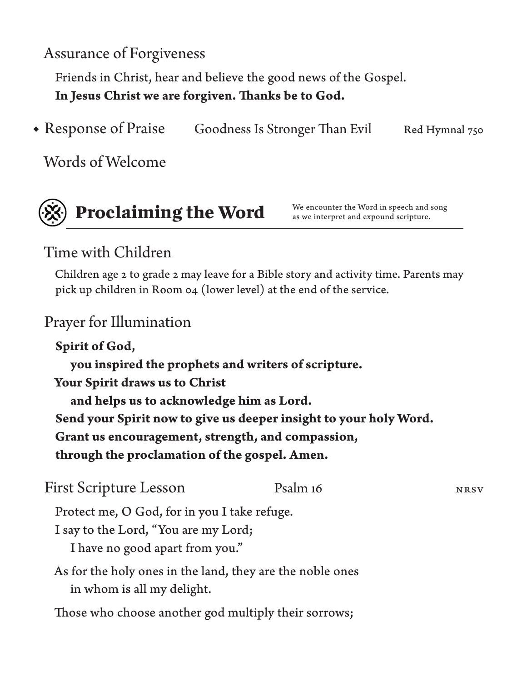Assurance of Forgiveness

Friends in Christ, hear and believe the good news of the Gospel. **In Jesus Christ we are forgiven. Thanks be to God.**

• Response of Praise Goodness Is Stronger Than Evil Red Hymnal 750

Words of Welcome



**Proclaiming the Word** We encounter the Word in speech and song<br>as we interpret and expound scripture.

as we interpret and expound scripture.

## Time with Children

Children age 2 to grade 2 may leave for a Bible story and activity time. Parents may pick up children in Room 04 (lower level) at the end of the service.

## Prayer for Illumination

**Spirit of God, you inspired the prophets and writers of scripture. Your Spirit draws us to Christ and helps us to acknowledge him as Lord. Send your Spirit now to give us deeper insight to your holy Word. Grant us encouragement, strength, and compassion, through the proclamation of the gospel. Amen.**

| <b>First Scripture Lesson</b>                             | Psalm 16 | <b>NRSV</b> |
|-----------------------------------------------------------|----------|-------------|
| Protect me, O God, for in you I take refuge.              |          |             |
| I say to the Lord, "You are my Lord;                      |          |             |
| I have no good apart from you."                           |          |             |
| As for the holy ones in the land, they are the noble ones |          |             |
| in whom is all my delight.                                |          |             |

Those who choose another god multiply their sorrows;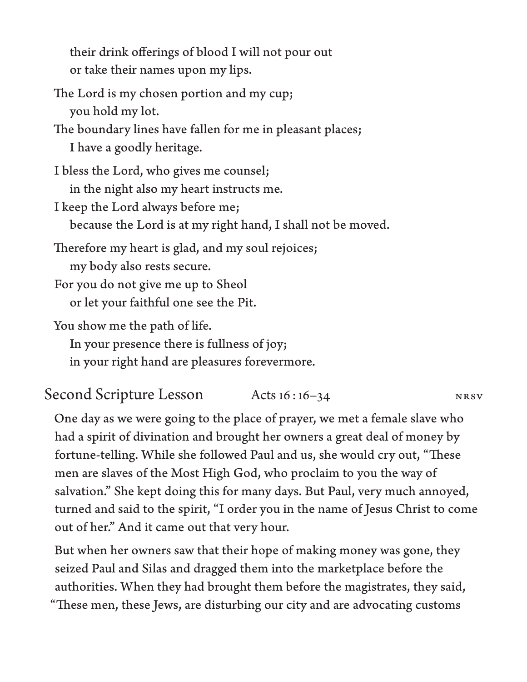their drink offerings of blood I will not pour out or take their names upon my lips.

The Lord is my chosen portion and my cup; you hold my lot.

The boundary lines have fallen for me in pleasant places; I have a goodly heritage.

I bless the Lord, who gives me counsel; in the night also my heart instructs me.

I keep the Lord always before me; because the Lord is at my right hand, I shall not be moved.

Therefore my heart is glad, and my soul rejoices; my body also rests secure.

For you do not give me up to Sheol or let your faithful one see the Pit.

You show me the path of life.

In your presence there is fullness of joy;

in your right hand are pleasures forevermore.

Second Scripture Lesson Acts 16:16-34 NRSV

One day as we were going to the place of prayer, we met a female slave who had a spirit of divination and brought her owners a great deal of money by fortune-telling. While she followed Paul and us, she would cry out, "These men are slaves of the Most High God, who proclaim to you the way of salvation." She kept doing this for many days. But Paul, very much annoyed, turned and said to the spirit, "I order you in the name of Jesus Christ to come out of her." And it came out that very hour.

But when her owners saw that their hope of making money was gone, they seized Paul and Silas and dragged them into the marketplace before the authorities. When they had brought them before the magistrates, they said, "These men, these Jews, are disturbing our city and are advocating customs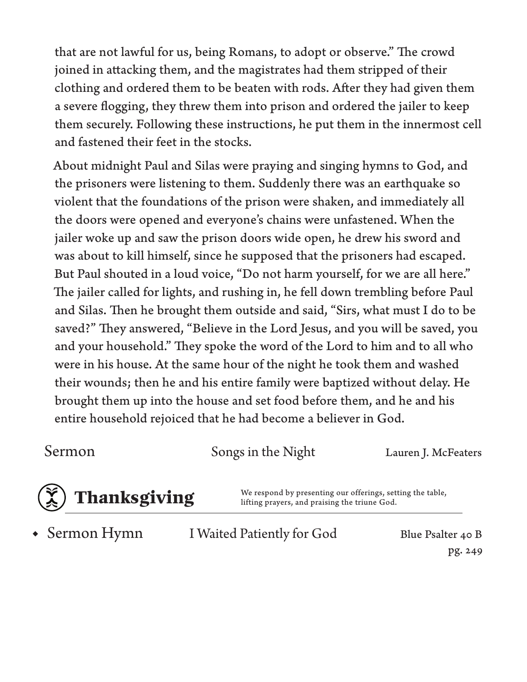that are not lawful for us, being Romans, to adopt or observe." The crowd joined in attacking them, and the magistrates had them stripped of their clothing and ordered them to be beaten with rods. After they had given them a severe flogging, they threw them into prison and ordered the jailer to keep them securely. Following these instructions, he put them in the innermost cell and fastened their feet in the stocks.

About midnight Paul and Silas were praying and singing hymns to God, and the prisoners were listening to them. Suddenly there was an earthquake so violent that the foundations of the prison were shaken, and immediately all the doors were opened and everyone's chains were unfastened. When the jailer woke up and saw the prison doors wide open, he drew his sword and was about to kill himself, since he supposed that the prisoners had escaped. But Paul shouted in a loud voice, "Do not harm yourself, for we are all here." The jailer called for lights, and rushing in, he fell down trembling before Paul and Silas. Then he brought them outside and said, "Sirs, what must I do to be saved?" They answered, "Believe in the Lord Jesus, and you will be saved, you and your household." They spoke the word of the Lord to him and to all who were in his house. At the same hour of the night he took them and washed their wounds; then he and his entire family were baptized without delay. He brought them up into the house and set food before them, and he and his entire household rejoiced that he had become a believer in God.

Sermon Songs in the Night Lauren J. McFeaters



**Thanksgiving** We respond by presenting our offerings, setting the table,<br>lifting prayers, and praising the triune God. lifting prayers, and praising the triune God.

• Sermon Hymn

I Waited Patiently for God Blue Psalter 40 B

pg. 249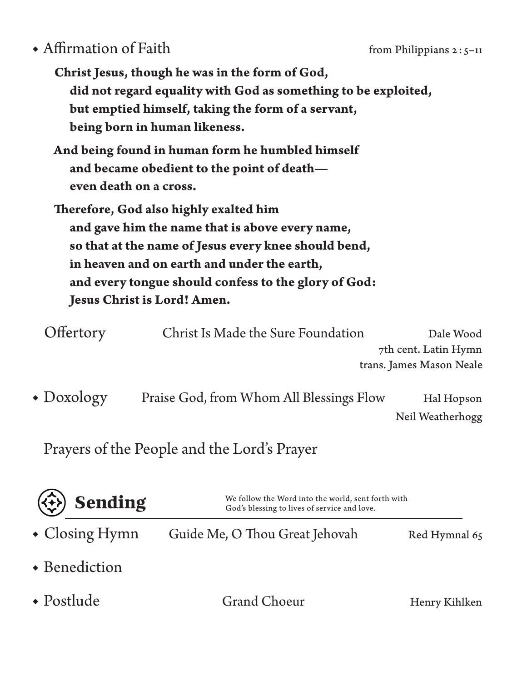## ◆ Affirmation of Faith from Philippians 2:5–11

|                                                      | Christ Jesus, though he was in the form of God,                |                      |  |  |
|------------------------------------------------------|----------------------------------------------------------------|----------------------|--|--|
|                                                      | did not regard equality with God as something to be exploited, |                      |  |  |
|                                                      | but emptied himself, taking the form of a servant,             |                      |  |  |
|                                                      | being born in human likeness.                                  |                      |  |  |
|                                                      | And being found in human form he humbled himself               |                      |  |  |
|                                                      | and became obedient to the point of death-                     |                      |  |  |
| even death on a cross.                               |                                                                |                      |  |  |
|                                                      | Therefore, God also highly exalted him                         |                      |  |  |
|                                                      | and gave him the name that is above every name,                |                      |  |  |
|                                                      | so that at the name of Jesus every knee should bend,           |                      |  |  |
|                                                      | in heaven and on earth and under the earth,                    |                      |  |  |
| and every tongue should confess to the glory of God: |                                                                |                      |  |  |
|                                                      | Jesus Christ is Lord! Amen.                                    |                      |  |  |
| Offertory                                            | Christ Is Made the Sure Foundation                             | Dale Wood            |  |  |
|                                                      |                                                                | 7th cent. Latin Hymn |  |  |

trans. James Mason Neale

Praise God, from Whom All Blessings Flow Hal Hopson Neil Weatherhogg • Doxology

Prayers of the People and the Lord's Prayer

| $(\Leftrightarrow)$ Sending | We follow the Word into the world, sent forth with<br>God's blessing to lives of service and love. |               |
|-----------------------------|----------------------------------------------------------------------------------------------------|---------------|
| $\bullet$ Closing Hymn      | Guide Me, O Thou Great Jehovah                                                                     | Red Hymnal 65 |
| • Benediction               |                                                                                                    |               |
| $\bullet$ Postlude          | Grand Choeur                                                                                       | Henry Kihlken |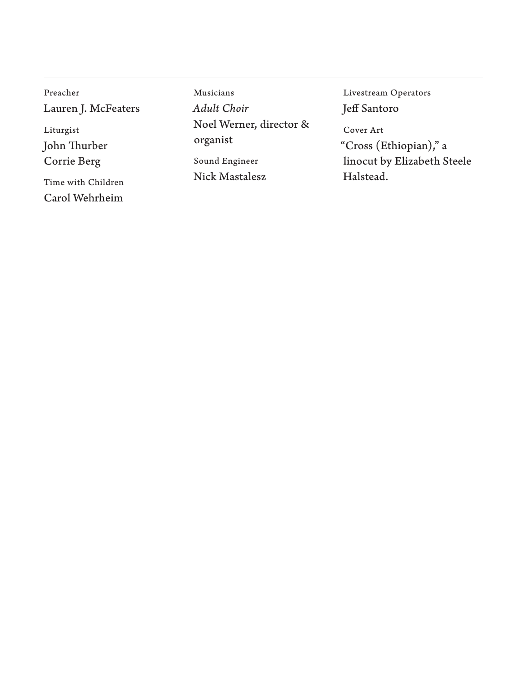Preacher Lauren J. McFeaters Liturgist John Thurber Corrie Berg Time with Children

Carol Wehrheim

Musicians *Adult Choir* Noel Werner, director & organist Sound Engineer

Nick Mastalesz

Livestream Operators Jeff Santoro

Cover Art "Cross (Ethiopian)," a linocut by Elizabeth Steele Halstead.